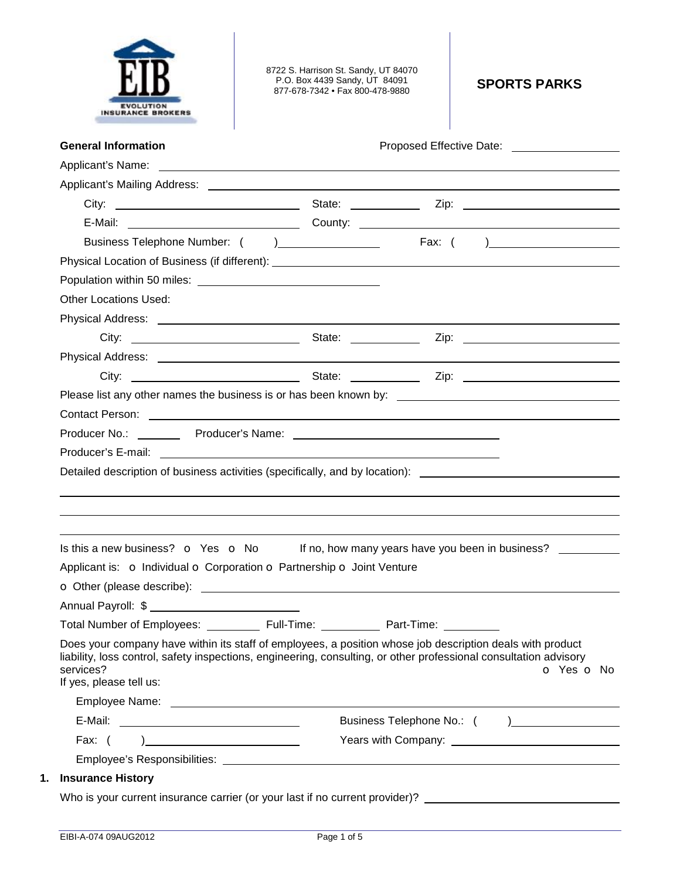

8722 S. Harrison St. Sandy, UT 84070 P.O. Box 4439 Sandy, UT 84091 877-678-7342 • Fax 800-478-9880 **SPORTS PARKS** 

| <b>Other Locations Used:</b><br>Contact Person: 2008 Contact Person:<br>Detailed description of business activities (specifically, and by location): _________________________________<br>Is this a new business? $\bullet$ Yes $\bullet$ No If no, how many years have you been in business?<br>Applicant is: o Individual o Corporation o Partnership o Joint Venture<br>Annual Payroll: \$<br>Full-Time:<br><b>Total Number of Employees:</b><br>Part-Time:<br>Does your company have within its staff of employees, a position whose job description deals with product<br>liability, loss control, safety inspections, engineering, consulting, or other professional consultation advisory<br>services?<br>If yes, please tell us: |                             |
|------------------------------------------------------------------------------------------------------------------------------------------------------------------------------------------------------------------------------------------------------------------------------------------------------------------------------------------------------------------------------------------------------------------------------------------------------------------------------------------------------------------------------------------------------------------------------------------------------------------------------------------------------------------------------------------------------------------------------------------|-----------------------------|
|                                                                                                                                                                                                                                                                                                                                                                                                                                                                                                                                                                                                                                                                                                                                          |                             |
|                                                                                                                                                                                                                                                                                                                                                                                                                                                                                                                                                                                                                                                                                                                                          |                             |
|                                                                                                                                                                                                                                                                                                                                                                                                                                                                                                                                                                                                                                                                                                                                          |                             |
|                                                                                                                                                                                                                                                                                                                                                                                                                                                                                                                                                                                                                                                                                                                                          |                             |
|                                                                                                                                                                                                                                                                                                                                                                                                                                                                                                                                                                                                                                                                                                                                          |                             |
|                                                                                                                                                                                                                                                                                                                                                                                                                                                                                                                                                                                                                                                                                                                                          |                             |
|                                                                                                                                                                                                                                                                                                                                                                                                                                                                                                                                                                                                                                                                                                                                          |                             |
|                                                                                                                                                                                                                                                                                                                                                                                                                                                                                                                                                                                                                                                                                                                                          |                             |
|                                                                                                                                                                                                                                                                                                                                                                                                                                                                                                                                                                                                                                                                                                                                          |                             |
|                                                                                                                                                                                                                                                                                                                                                                                                                                                                                                                                                                                                                                                                                                                                          |                             |
|                                                                                                                                                                                                                                                                                                                                                                                                                                                                                                                                                                                                                                                                                                                                          |                             |
|                                                                                                                                                                                                                                                                                                                                                                                                                                                                                                                                                                                                                                                                                                                                          |                             |
|                                                                                                                                                                                                                                                                                                                                                                                                                                                                                                                                                                                                                                                                                                                                          |                             |
|                                                                                                                                                                                                                                                                                                                                                                                                                                                                                                                                                                                                                                                                                                                                          |                             |
|                                                                                                                                                                                                                                                                                                                                                                                                                                                                                                                                                                                                                                                                                                                                          |                             |
|                                                                                                                                                                                                                                                                                                                                                                                                                                                                                                                                                                                                                                                                                                                                          |                             |
|                                                                                                                                                                                                                                                                                                                                                                                                                                                                                                                                                                                                                                                                                                                                          |                             |
|                                                                                                                                                                                                                                                                                                                                                                                                                                                                                                                                                                                                                                                                                                                                          |                             |
|                                                                                                                                                                                                                                                                                                                                                                                                                                                                                                                                                                                                                                                                                                                                          |                             |
|                                                                                                                                                                                                                                                                                                                                                                                                                                                                                                                                                                                                                                                                                                                                          |                             |
|                                                                                                                                                                                                                                                                                                                                                                                                                                                                                                                                                                                                                                                                                                                                          |                             |
|                                                                                                                                                                                                                                                                                                                                                                                                                                                                                                                                                                                                                                                                                                                                          |                             |
|                                                                                                                                                                                                                                                                                                                                                                                                                                                                                                                                                                                                                                                                                                                                          | o Yes o No                  |
|                                                                                                                                                                                                                                                                                                                                                                                                                                                                                                                                                                                                                                                                                                                                          |                             |
|                                                                                                                                                                                                                                                                                                                                                                                                                                                                                                                                                                                                                                                                                                                                          | Business Telephone No.: ( ) |
| Fax: $($<br>$\begin{picture}(20,10) \put(0,0){\dashbox{0.5}(10,0){ }} \put(15,0){\circle{10}} \put(15,0){\circle{10}} \put(15,0){\circle{10}} \put(15,0){\circle{10}} \put(15,0){\circle{10}} \put(15,0){\circle{10}} \put(15,0){\circle{10}} \put(15,0){\circle{10}} \put(15,0){\circle{10}} \put(15,0){\circle{10}} \put(15,0){\circle{10}} \put(15,0){\circle{10}} \put(15,0){\circle{10}} \put(15,$                                                                                                                                                                                                                                                                                                                                  |                             |
| <b>Insurance History</b>                                                                                                                                                                                                                                                                                                                                                                                                                                                                                                                                                                                                                                                                                                                 |                             |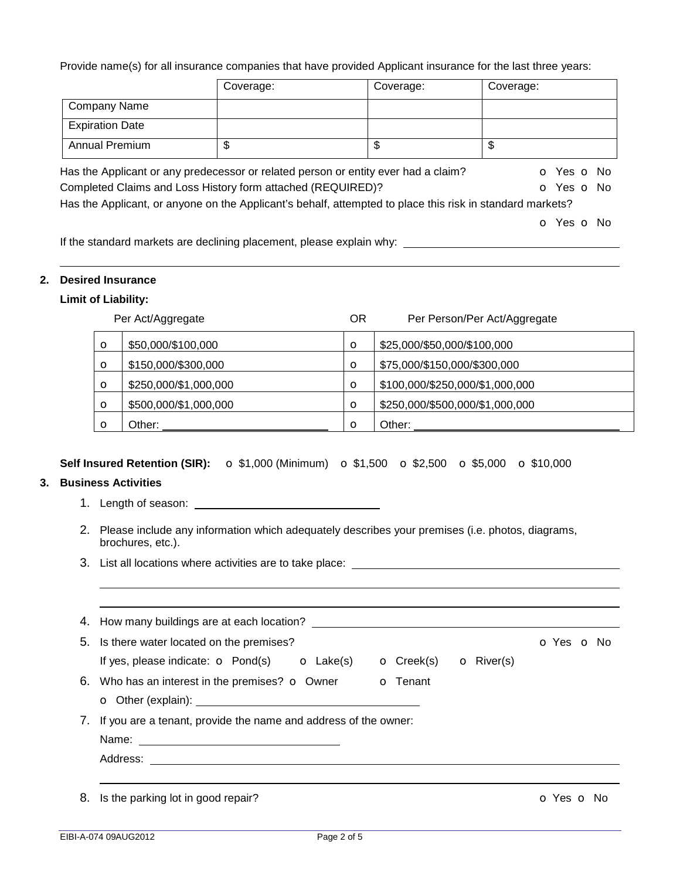Provide name(s) for all insurance companies that have provided Applicant insurance for the last three years:

|                        | Coverage:                                                            | Coverage:                                                                                                 | Coverage:  |
|------------------------|----------------------------------------------------------------------|-----------------------------------------------------------------------------------------------------------|------------|
| <b>Company Name</b>    |                                                                      |                                                                                                           |            |
| <b>Expiration Date</b> |                                                                      |                                                                                                           |            |
| <b>Annual Premium</b>  | \$                                                                   | \$                                                                                                        | \$         |
|                        |                                                                      | Has the Applicant or any predecessor or related person or entity ever had a claim?                        | O Yes O No |
|                        | Completed Claims and Loss History form attached (REQUIRED)?          |                                                                                                           | O Yes O No |
|                        |                                                                      | Has the Applicant, or anyone on the Applicant's behalf, attempted to place this risk in standard markets? |            |
|                        |                                                                      |                                                                                                           | O Yes O No |
|                        | lf the standard markets are declining placement, please explain why: |                                                                                                           |            |

If the standard markets are declining placement, please explain why:

#### **2. Desired Insurance**

# **Limit of Liability:**

|         | Per Act/Aggregate     | ΟR      | Per Person/Per Act/Aggregate    |
|---------|-----------------------|---------|---------------------------------|
| O       | \$50,000/\$100,000    | $\circ$ | \$25,000/\$50,000/\$100,000     |
| O       | \$150,000/\$300,000   | $\circ$ | \$75,000/\$150,000/\$300,000    |
| O       | \$250,000/\$1,000,000 | $\circ$ | \$100,000/\$250,000/\$1,000,000 |
| $\circ$ | \$500,000/\$1,000,000 | $\circ$ | \$250,000/\$500,000/\$1,000,000 |
| Ω       | Other:                | $\circ$ | Other:                          |

### **Self Insured Retention (SIR):** o \$1,000 (Minimum) o \$1,500 o \$2,500 o \$5,000 o \$10,000

## **3. Business Activities**

- 1. Length of season:
- 2. Please include any information which adequately describes your premises (i.e. photos, diagrams, brochures, etc.).
- 3. List all locations where activities are to take place:

|    | 4. How many buildings are at each location?                                                           |            |
|----|-------------------------------------------------------------------------------------------------------|------------|
|    | 5. Is there water located on the premises?                                                            | o Yes o No |
|    | If yes, please indicate: $\bullet$ Pond(s) $\bullet$ Lake(s)<br>$\bullet$ Creek(s) $\bullet$ River(s) |            |
|    | 6. Who has an interest in the premises? $\sigma$ Owner<br><b>o</b> Tenant                             |            |
|    |                                                                                                       |            |
|    | 7. If you are a tenant, provide the name and address of the owner:                                    |            |
|    |                                                                                                       |            |
|    |                                                                                                       |            |
|    |                                                                                                       |            |
| 8. | Is the parking lot in good repair?                                                                    | o Yes o No |
|    |                                                                                                       |            |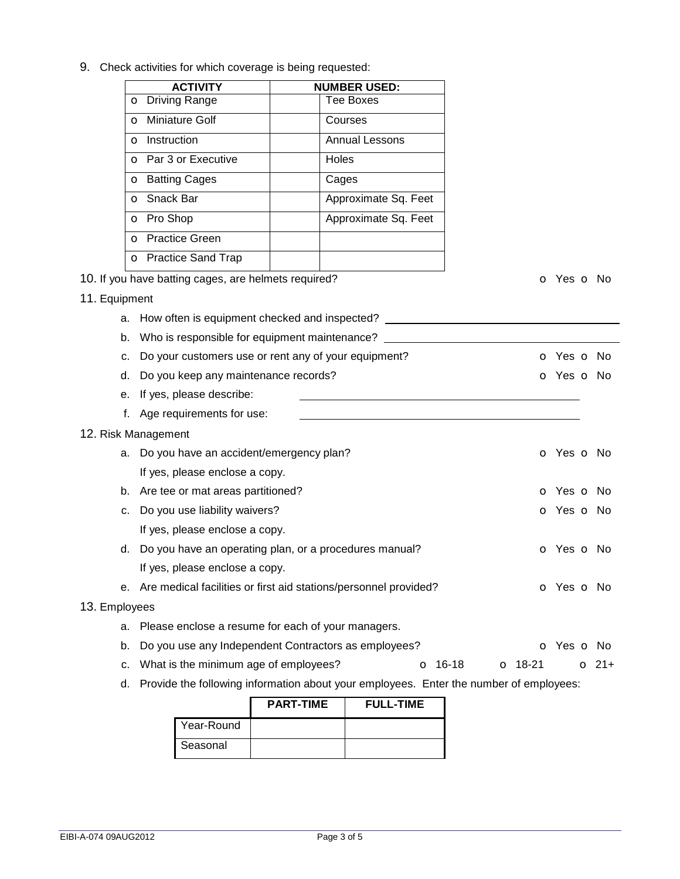9. Check activities for which coverage is being requested: **ACTIVITY NUMBER USED:** o Driving Range  $\vert$  Tee Boxes **o** Miniature Golf **Courses o** Instruction **Annual Lessons** o Par 3 or Executive | Holes o Batting Cages | Cages **o** Snack Bar **Approximate Sq. Feet o** Pro Shop **Approximate Sq. Feet** o Practice Green o Practice Sand Trap 10. If you have batting cages, are helmets required? **o COV o** Yes **o** No 11. Equipment a. How often is equipment checked and inspected? b. Who is responsible for equipment maintenance? c. Do your customers use or rent any of your equipment? **o** Yes **o** No d. Do you keep any maintenance records? The contraction of the contraction of Yes of No. e. If yes, please describe: f. Age requirements for use: 12. Risk Management a. Do you have an accident/emergency plan? Case of the Control of Yes of No. If yes, please enclose a copy. b. Are tee or mat areas partitioned? **b.** Are tee or mat areas partitioned? c. Do you use liability waivers? Community that the control of the control of Yes of No. If yes, please enclose a copy. d. Do you have an operating plan, or a procedures manual? **o** Yes **o** No If yes, please enclose a copy. e. Are medical facilities or first aid stations/personnel provided? **o** Yes **o** No 13. Employees a. Please enclose a resume for each of your managers. b. Do you use any Independent Contractors as employees? **o Social Contractors** o Yes **o** No c. What is the minimum age of employees?  $\overline{O}$  16-18  $\overline{O}$  18-21  $\overline{O}$  21+ d. Provide the following information about your employees. Enter the number of employees: **PART-TIME FULL-TIME**

|            | <b>PART-TIME</b> | <b>FULL-TIME</b> |
|------------|------------------|------------------|
| Year-Round |                  |                  |
| Seasonal   |                  |                  |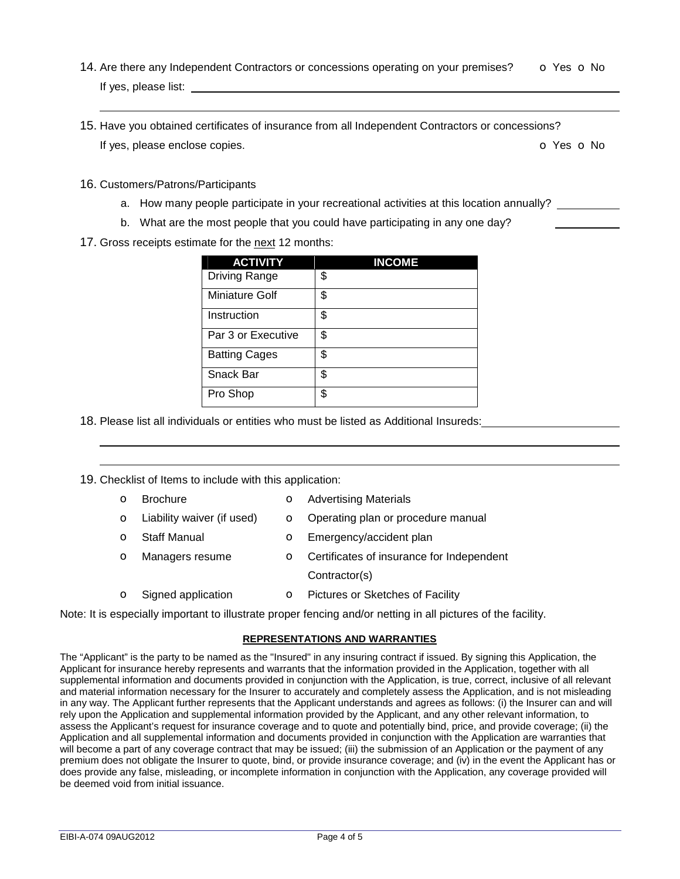- 14. Are there any Independent Contractors or concessions operating on your premises? **o** Yes **o** No If yes, please list:
- 15. Have you obtained certificates of insurance from all Independent Contractors or concessions? If yes, please enclose copies.  $\bullet$  Yes  $\bullet$  No
- 16. Customers/Patrons/Participants

- a. How many people participate in your recreational activities at this location annually?
- b. What are the most people that you could have participating in any one day?
- 17. Gross receipts estimate for the next 12 months:

| <b>ACTIVITY</b>      | <b>INCOME</b> |
|----------------------|---------------|
| Driving Range        | \$            |
| Miniature Golf       | \$            |
| Instruction          | \$            |
| Par 3 or Executive   | \$            |
| <b>Batting Cages</b> | \$            |
| Snack Bar            | \$            |
| Pro Shop             | \$            |

18. Please list all individuals or entities who must be listed as Additional Insureds:

19. Checklist of Items to include with this application:

 

- **o** Brochure **o** Advertising Materials
- **o** Liability waiver (if used) **o** Operating plan or procedure manual
- **o** Staff Manual **o** Emergency/accident plan
- o Managers resume o Certificates of insurance for Independent Contractor(s)
- **o** Signed application **o** Pictures or Sketches of Facility

Note: It is especially important to illustrate proper fencing and/or netting in all pictures of the facility.

#### **REPRESENTATIONS AND WARRANTIES**

The "Applicant" is the party to be named as the "Insured" in any insuring contract if issued. By signing this Application, the Applicant for insurance hereby represents and warrants that the information provided in the Application, together with all supplemental information and documents provided in conjunction with the Application, is true, correct, inclusive of all relevant and material information necessary for the Insurer to accurately and completely assess the Application, and is not misleading in any way. The Applicant further represents that the Applicant understands and agrees as follows: (i) the Insurer can and will rely upon the Application and supplemental information provided by the Applicant, and any other relevant information, to assess the Applicant's request for insurance coverage and to quote and potentially bind, price, and provide coverage; (ii) the Application and all supplemental information and documents provided in conjunction with the Application are warranties that will become a part of any coverage contract that may be issued; (iii) the submission of an Application or the payment of any premium does not obligate the Insurer to quote, bind, or provide insurance coverage; and (iv) in the event the Applicant has or does provide any false, misleading, or incomplete information in conjunction with the Application, any coverage provided will be deemed void from initial issuance.